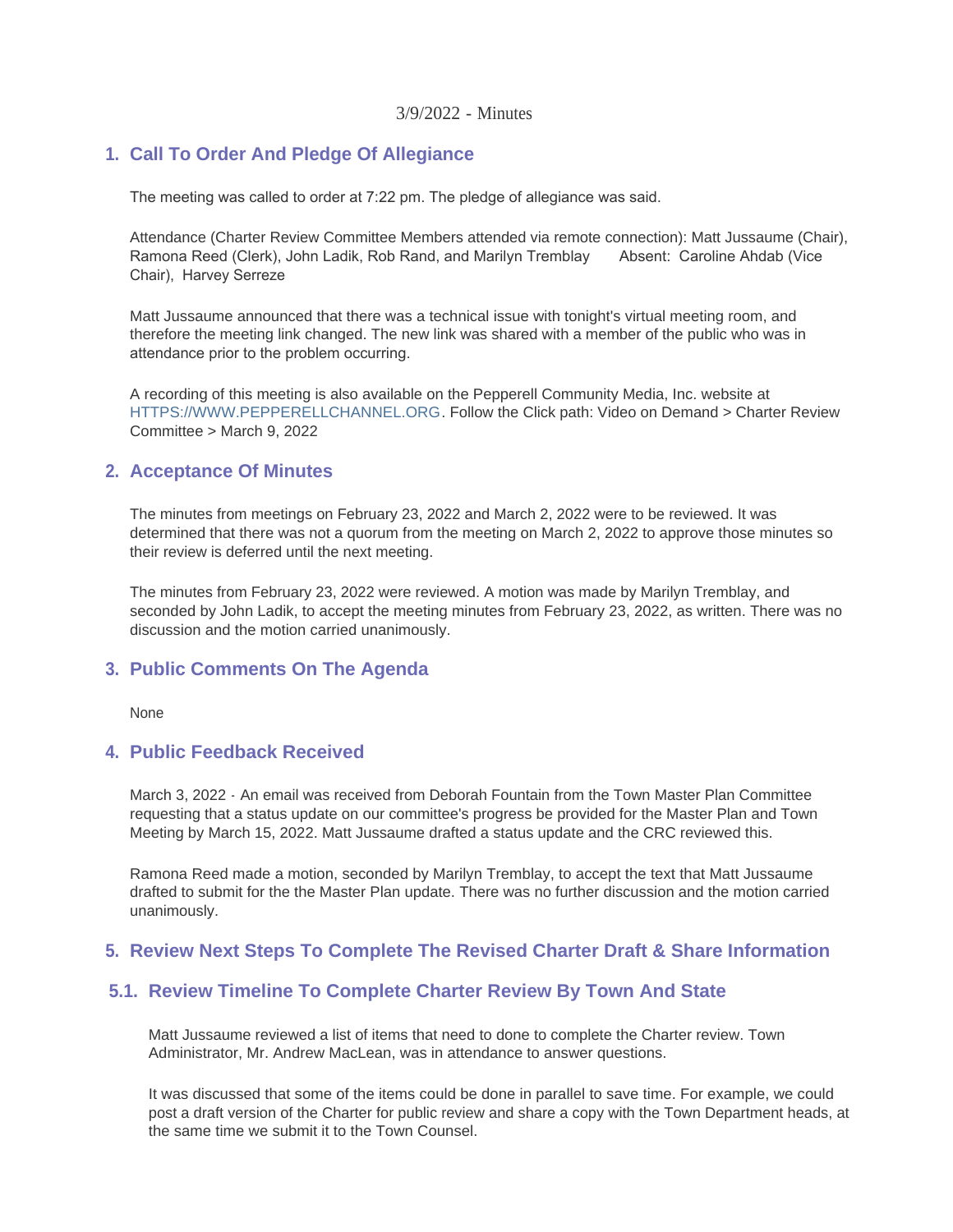#### 3/9/2022 - Minutes

#### **Call To Order And Pledge Of Allegiance 1.**

The meeting was called to order at 7:22 pm. The pledge of allegiance was said.

Attendance (Charter Review Committee Members attended via remote connection): Matt Jussaume (Chair), Ramona Reed (Clerk), John Ladik, Rob Rand, and Marilyn Tremblay Absent: Caroline Ahdab (Vice Ramona Reed (Clerk), John Ladik, Rob Rand, and Marilyn Tremblay Chair), Harvey Serreze

Matt Jussaume announced that there was a technical issue with tonight's virtual meeting room, and therefore the meeting link changed. The new link was shared with a member of the public who was in attendance prior to the problem occurring.

[A recording of this meeting is also available on](https://www.pepperellchannel.org/) the Pepperell Community Media, Inc. website at HTTPS://WWW.PEPPERELLCHANNEL.ORG. Follow the Click path: Video on Demand > Charter Review Committee > March 9, 2022

#### **Acceptance Of Minutes 2.**

The minutes from meetings on February 23, 2022 and March 2, 2022 were to be reviewed. It was determined that there was not a quorum from the meeting on March 2, 2022 to approve those minutes so their review is deferred until the next meeting.

The minutes from February 23, 2022 were reviewed. A motion was made by Marilyn Tremblay, and seconded by John Ladik, to accept the meeting minutes from February 23, 2022, as written. There was no discussion and the motion carried unanimously.

#### **Public Comments On The Agenda 3.**

None

#### **Public Feedback Received 4.**

March 3, 2022 - An email was received from Deborah Fountain from the Town Master Plan Committee requesting that a status update on our committee's progress be provided for the Master Plan and Town Meeting by March 15, 2022. Matt Jussaume drafted a status update and the CRC reviewed this.

Ramona Reed made a motion, seconded by Marilyn Tremblay, to accept the text that Matt Jussaume drafted to submit for the the Master Plan update. There was no further discussion and the motion carried unanimously.

## **Review Next Steps To Complete The Revised Charter Draft & Share Information 5.**

## **Review Timeline To Complete Charter Review By Town And State 5.1.**

Matt Jussaume reviewed a list of items that need to done to complete the Charter review. Town Administrator, Mr. Andrew MacLean, was in attendance to answer questions.

It was discussed that some of the items could be done in parallel to save time. For example, we could post a draft version of the Charter for public review and share a copy with the Town Department heads, at the same time we submit it to the Town Counsel.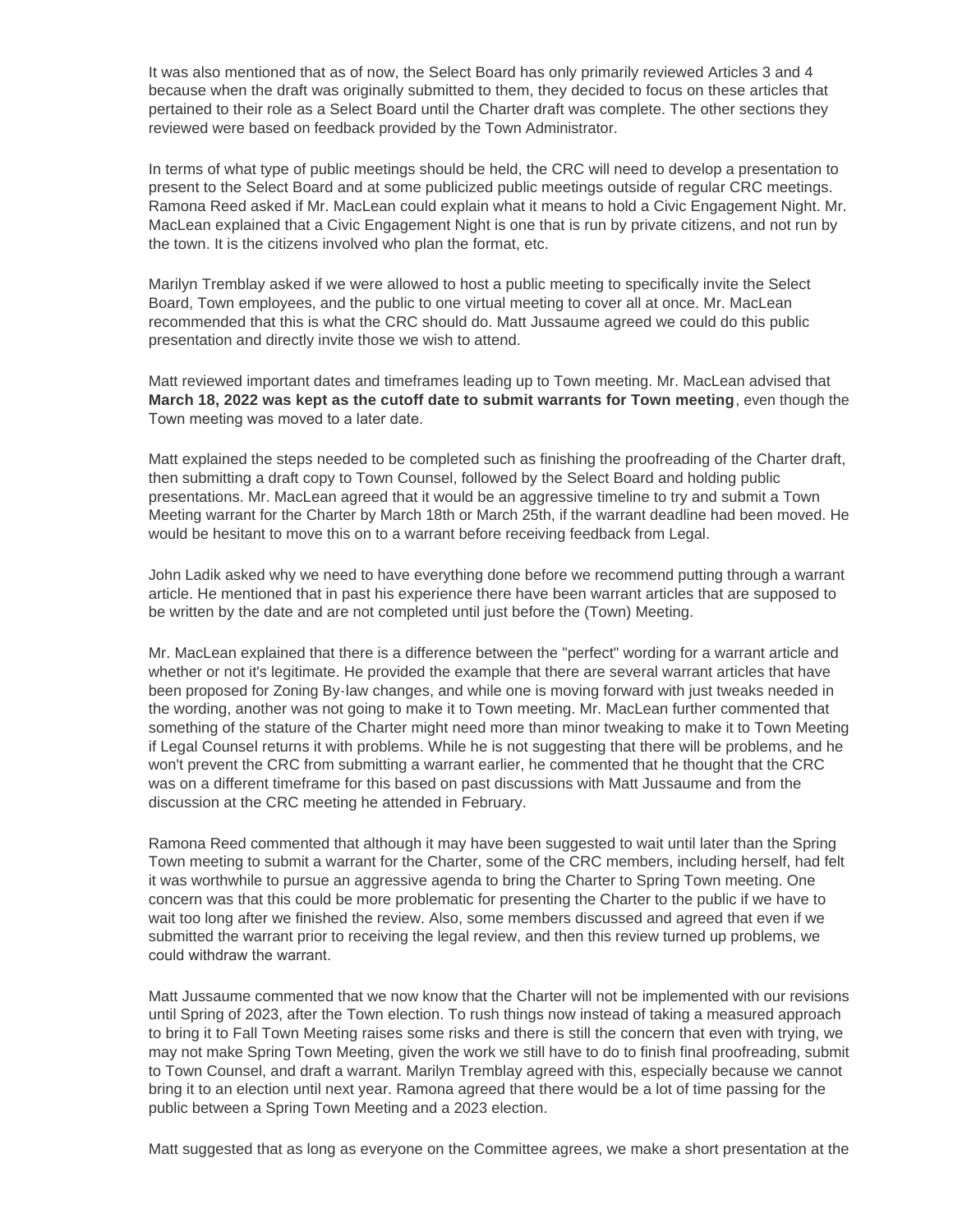It was also mentioned that as of now, the Select Board has only primarily reviewed Articles 3 and 4 because when the draft was originally submitted to them, they decided to focus on these articles that pertained to their role as a Select Board until the Charter draft was complete. The other sections they reviewed were based on feedback provided by the Town Administrator.

In terms of what type of public meetings should be held, the CRC will need to develop a presentation to present to the Select Board and at some publicized public meetings outside of regular CRC meetings. Ramona Reed asked if Mr. MacLean could explain what it means to hold a Civic Engagement Night. Mr. MacLean explained that a Civic Engagement Night is one that is run by private citizens, and not run by the town. It is the citizens involved who plan the format, etc.

Marilyn Tremblay asked if we were allowed to host a public meeting to specifically invite the Select Board, Town employees, and the public to one virtual meeting to cover all at once. Mr. MacLean recommended that this is what the CRC should do. Matt Jussaume agreed we could do this public presentation and directly invite those we wish to attend.

Matt reviewed important dates and timeframes leading up to Town meeting. Mr. MacLean advised that **March 18, 2022 was kept as the cutoff date to submit warrants for Town meeting**, even though the Town meeting was moved to a later date.

Matt explained the steps needed to be completed such as finishing the proofreading of the Charter draft, then submitting a draft copy to Town Counsel, followed by the Select Board and holding public presentations. Mr. MacLean agreed that it would be an aggressive timeline to try and submit a Town Meeting warrant for the Charter by March 18th or March 25th, if the warrant deadline had been moved. He would be hesitant to move this on to a warrant before receiving feedback from Legal.

John Ladik asked why we need to have everything done before we recommend putting through a warrant article. He mentioned that in past his experience there have been warrant articles that are supposed to be written by the date and are not completed until just before the (Town) Meeting.

Mr. MacLean explained that there is a difference between the "perfect" wording for a warrant article and whether or not it's legitimate. He provided the example that there are several warrant articles that have been proposed for Zoning By-law changes, and while one is moving forward with just tweaks needed in the wording, another was not going to make it to Town meeting. Mr. MacLean further commented that something of the stature of the Charter might need more than minor tweaking to make it to Town Meeting if Legal Counsel returns it with problems. While he is not suggesting that there will be problems, and he won't prevent the CRC from submitting a warrant earlier, he commented that he thought that the CRC was on a different timeframe for this based on past discussions with Matt Jussaume and from the discussion at the CRC meeting he attended in February.

Ramona Reed commented that although it may have been suggested to wait until later than the Spring Town meeting to submit a warrant for the Charter, some of the CRC members, including herself, had felt it was worthwhile to pursue an aggressive agenda to bring the Charter to Spring Town meeting. One concern was that this could be more problematic for presenting the Charter to the public if we have to wait too long after we finished the review. Also, some members discussed and agreed that even if we submitted the warrant prior to receiving the legal review, and then this review turned up problems, we could withdraw the warrant.

Matt Jussaume commented that we now know that the Charter will not be implemented with our revisions until Spring of 2023, after the Town election. To rush things now instead of taking a measured approach to bring it to Fall Town Meeting raises some risks and there is still the concern that even with trying, we may not make Spring Town Meeting, given the work we still have to do to finish final proofreading, submit to Town Counsel, and draft a warrant. Marilyn Tremblay agreed with this, especially because we cannot bring it to an election until next year. Ramona agreed that there would be a lot of time passing for the public between a Spring Town Meeting and a 2023 election.

Matt suggested that as long as everyone on the Committee agrees, we make a short presentation at the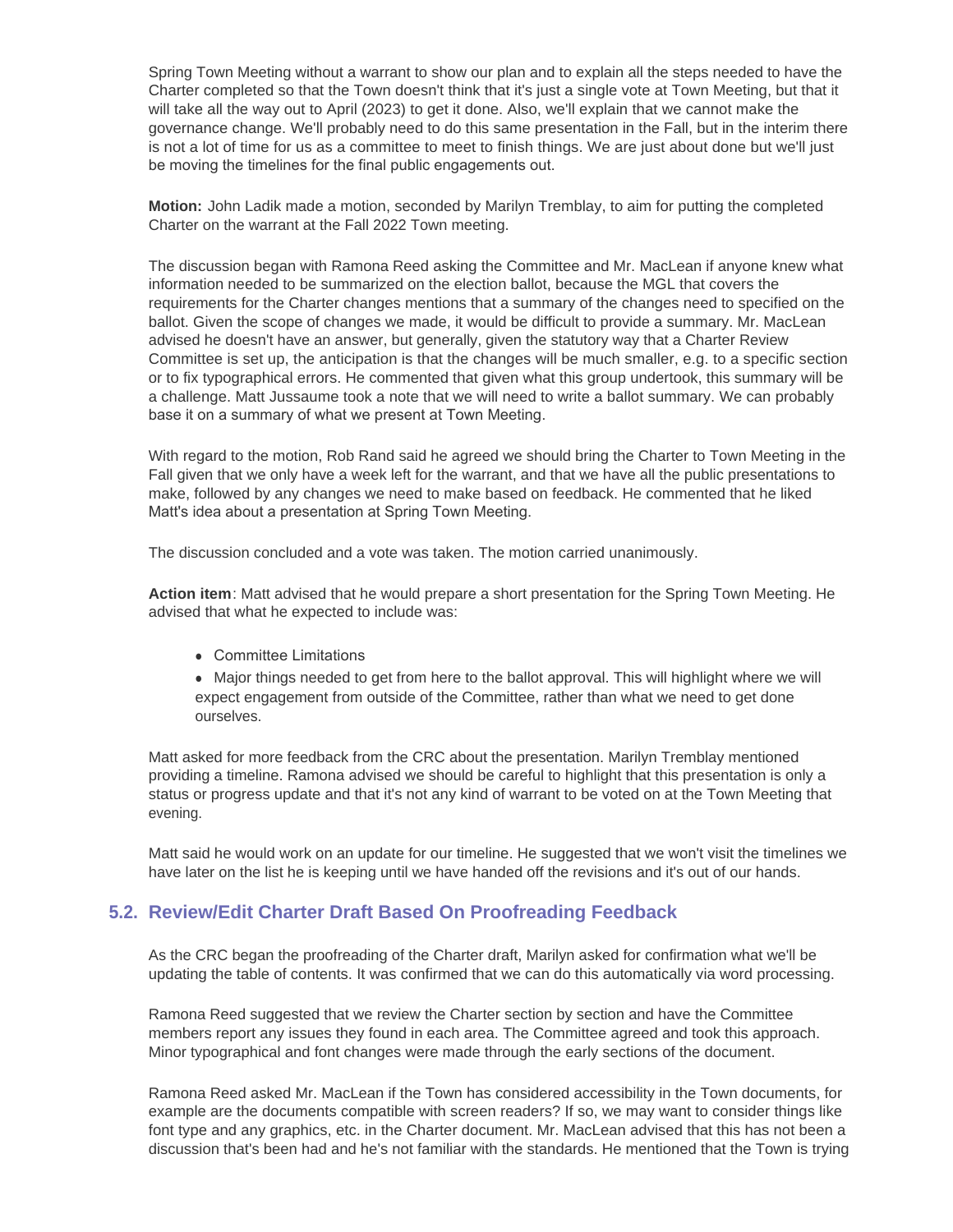Spring Town Meeting without a warrant to show our plan and to explain all the steps needed to have the Charter completed so that the Town doesn't think that it's just a single vote at Town Meeting, but that it will take all the way out to April (2023) to get it done. Also, we'll explain that we cannot make the governance change. We'll probably need to do this same presentation in the Fall, but in the interim there is not a lot of time for us as a committee to meet to finish things. We are just about done but we'll just be moving the timelines for the final public engagements out.

**Motion:** John Ladik made a motion, seconded by Marilyn Tremblay, to aim for putting the completed Charter on the warrant at the Fall 2022 Town meeting.

The discussion began with Ramona Reed asking the Committee and Mr. MacLean if anyone knew what information needed to be summarized on the election ballot, because the MGL that covers the requirements for the Charter changes mentions that a summary of the changes need to specified on the ballot. Given the scope of changes we made, it would be difficult to provide a summary. Mr. MacLean advised he doesn't have an answer, but generally, given the statutory way that a Charter Review Committee is set up, the anticipation is that the changes will be much smaller, e.g. to a specific section or to fix typographical errors. He commented that given what this group undertook, this summary will be a challenge. Matt Jussaume took a note that we will need to write a ballot summary. We can probably base it on a summary of what we present at Town Meeting.

With regard to the motion, Rob Rand said he agreed we should bring the Charter to Town Meeting in the Fall given that we only have a week left for the warrant, and that we have all the public presentations to make, followed by any changes we need to make based on feedback. He commented that he liked Matt's idea about a presentation at Spring Town Meeting.

The discussion concluded and a vote was taken. The motion carried unanimously.

**Action item**: Matt advised that he would prepare a short presentation for the Spring Town Meeting. He advised that what he expected to include was:

• Committee Limitations

• Major things needed to get from here to the ballot approval. This will highlight where we will expect engagement from outside of the Committee, rather than what we need to get done ourselves.

Matt asked for more feedback from the CRC about the presentation. Marilyn Tremblay mentioned providing a timeline. Ramona advised we should be careful to highlight that this presentation is only a status or progress update and that it's not any kind of warrant to be voted on at the Town Meeting that evening.

Matt said he would work on an update for our timeline. He suggested that we won't visit the timelines we have later on the list he is keeping until we have handed off the revisions and it's out of our hands.

# **Review/Edit Charter Draft Based On Proofreading Feedback 5.2.**

As the CRC began the proofreading of the Charter draft, Marilyn asked for confirmation what we'll be updating the table of contents. It was confirmed that we can do this automatically via word processing.

Ramona Reed suggested that we review the Charter section by section and have the Committee members report any issues they found in each area. The Committee agreed and took this approach. Minor typographical and font changes were made through the early sections of the document.

Ramona Reed asked Mr. MacLean if the Town has considered accessibility in the Town documents, for example are the documents compatible with screen readers? If so, we may want to consider things like font type and any graphics, etc. in the Charter document. Mr. MacLean advised that this has not been a discussion that's been had and he's not familiar with the standards. He mentioned that the Town is trying